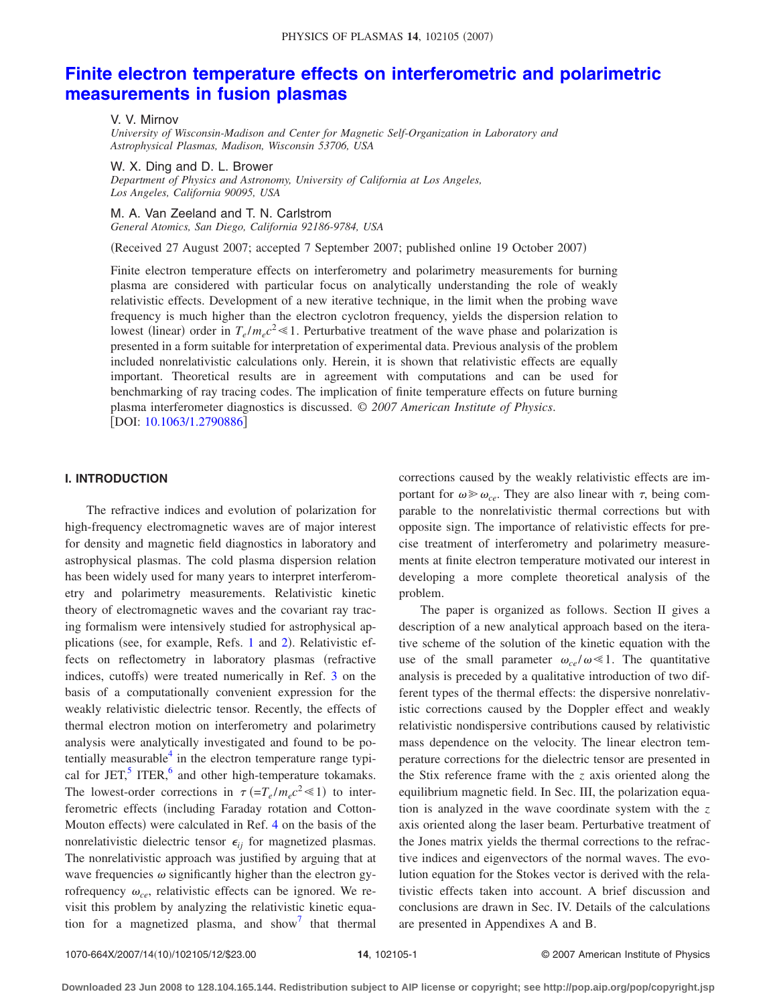# **Finite electron temperature effects on interferometric and polarimetric measurements in fusion plasmas**

V. V. Mirnov

*University of Wisconsin-Madison and Center for Magnetic Self-Organization in Laboratory and Astrophysical Plasmas, Madison, Wisconsin 53706, USA*

W. X. Ding and D. L. Brower

*Department of Physics and Astronomy, University of California at Los Angeles, Los Angeles, California 90095, USA*

M. A. Van Zeeland and T. N. Carlstrom *General Atomics, San Diego, California 92186-9784, USA*

(Received 27 August 2007; accepted 7 September 2007; published online 19 October 2007)

Finite electron temperature effects on interferometry and polarimetry measurements for burning plasma are considered with particular focus on analytically understanding the role of weakly relativistic effects. Development of a new iterative technique, in the limit when the probing wave frequency is much higher than the electron cyclotron frequency, yields the dispersion relation to lowest (linear) order in  $T_e / m_e c^2 \ll 1$ . Perturbative treatment of the wave phase and polarization is presented in a form suitable for interpretation of experimental data. Previous analysis of the problem included nonrelativistic calculations only. Herein, it is shown that relativistic effects are equally important. Theoretical results are in agreement with computations and can be used for benchmarking of ray tracing codes. The implication of finite temperature effects on future burning plasma interferometer diagnostics is discussed. © *2007 American Institute of Physics*. [DOI: 10.1063/1.2790886]

#### **I. INTRODUCTION**

The refractive indices and evolution of polarization for high-frequency electromagnetic waves are of major interest for density and magnetic field diagnostics in laboratory and astrophysical plasmas. The cold plasma dispersion relation has been widely used for many years to interpret interferometry and polarimetry measurements. Relativistic kinetic theory of electromagnetic waves and the covariant ray tracing formalism were intensively studied for astrophysical applications (see, for example, Refs. 1 and 2). Relativistic effects on reflectometry in laboratory plasmas (refractive indices, cutoffs) were treated numerically in Ref. 3 on the basis of a computationally convenient expression for the weakly relativistic dielectric tensor. Recently, the effects of thermal electron motion on interferometry and polarimetry analysis were analytically investigated and found to be potentially measurable $4$  in the electron temperature range typical for  $JET$ ,  $TER$ , and other high-temperature tokamaks. The lowest-order corrections in  $\tau (=T_e/m_ec^2 \ll 1)$  to interferometric effects (including Faraday rotation and Cotton-Mouton effects) were calculated in Ref. 4 on the basis of the nonrelativistic dielectric tensor  $\epsilon_{ij}$  for magnetized plasmas. The nonrelativistic approach was justified by arguing that at wave frequencies  $\omega$  significantly higher than the electron gyrofrequency  $\omega_{ce}$ , relativistic effects can be ignored. We revisit this problem by analyzing the relativistic kinetic equation for a magnetized plasma, and show that thermal corrections caused by the weakly relativistic effects are important for  $\omega \gg \omega_{ce}$ . They are also linear with  $\tau$ , being comparable to the nonrelativistic thermal corrections but with opposite sign. The importance of relativistic effects for precise treatment of interferometry and polarimetry measurements at finite electron temperature motivated our interest in developing a more complete theoretical analysis of the problem.

The paper is organized as follows. Section II gives a description of a new analytical approach based on the iterative scheme of the solution of the kinetic equation with the use of the small parameter  $\omega_{ce}/\omega \ll 1$ . The quantitative analysis is preceded by a qualitative introduction of two different types of the thermal effects: the dispersive nonrelativistic corrections caused by the Doppler effect and weakly relativistic nondispersive contributions caused by relativistic mass dependence on the velocity. The linear electron temperature corrections for the dielectric tensor are presented in the Stix reference frame with the *z* axis oriented along the equilibrium magnetic field. In Sec. III, the polarization equation is analyzed in the wave coordinate system with the *z* axis oriented along the laser beam. Perturbative treatment of the Jones matrix yields the thermal corrections to the refractive indices and eigenvectors of the normal waves. The evolution equation for the Stokes vector is derived with the relativistic effects taken into account. A brief discussion and conclusions are drawn in Sec. IV. Details of the calculations are presented in Appendixes A and B.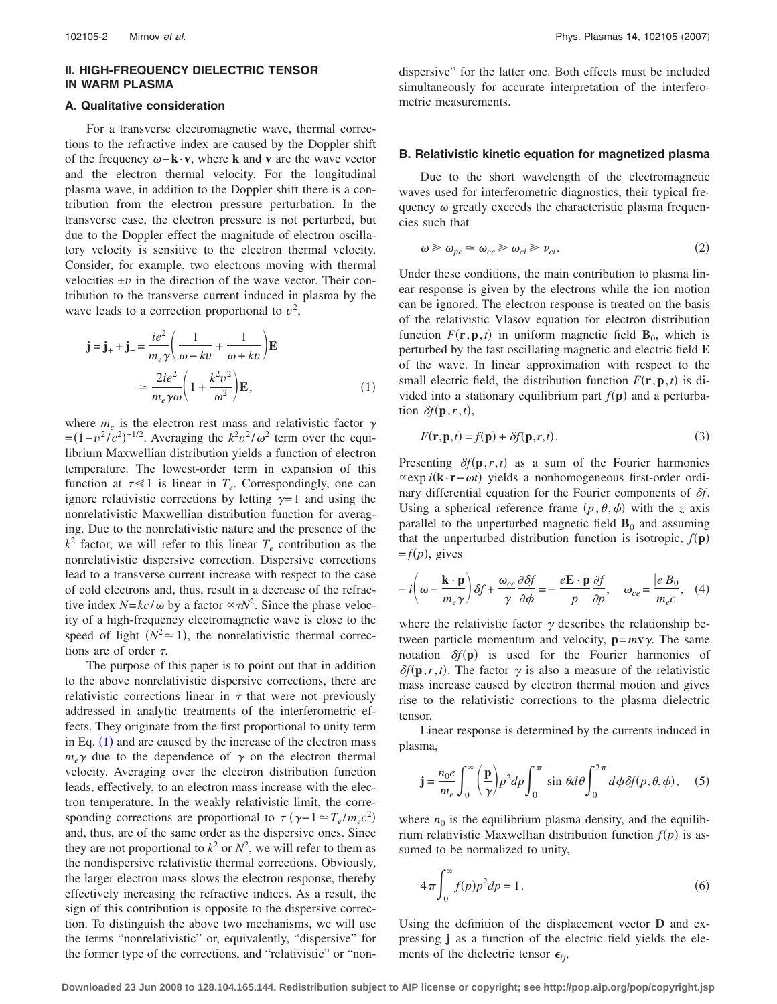# **II. HIGH-FREQUENCY DIELECTRIC TENSOR IN WARM PLASMA**

#### **A. Qualitative consideration**

For a transverse electromagnetic wave, thermal corrections to the refractive index are caused by the Doppler shift of the frequency −**k**·**v**, where **k** and **v** are the wave vector and the electron thermal velocity. For the longitudinal plasma wave, in addition to the Doppler shift there is a contribution from the electron pressure perturbation. In the transverse case, the electron pressure is not perturbed, but due to the Doppler effect the magnitude of electron oscillatory velocity is sensitive to the electron thermal velocity. Consider, for example, two electrons moving with thermal velocities ±*v* in the direction of the wave vector. Their contribution to the transverse current induced in plasma by the wave leads to a correction proportional to  $v^2$ ,

$$
\mathbf{j} = \mathbf{j}_{+} + \mathbf{j}_{-} = \frac{ie^{2}}{m_{e}\gamma} \left( \frac{1}{\omega - kv} + \frac{1}{\omega + kv} \right) \mathbf{E}
$$

$$
\approx \frac{2ie^{2}}{m_{e}\gamma\omega} \left( 1 + \frac{k^{2}v^{2}}{\omega^{2}} \right) \mathbf{E}, \tag{1}
$$

where  $m_e$  is the electron rest mass and relativistic factor  $\gamma$  $\epsilon = (1 - v^2/c^2)^{-1/2}$ . Averaging the  $k^2v^2/\omega^2$  term over the equilibrium Maxwellian distribution yields a function of electron temperature. The lowest-order term in expansion of this function at  $\tau \ll 1$  is linear in  $T_e$ . Correspondingly, one can ignore relativistic corrections by letting  $\gamma = 1$  and using the nonrelativistic Maxwellian distribution function for averaging. Due to the nonrelativistic nature and the presence of the  $k^2$  factor, we will refer to this linear  $T_e$  contribution as the nonrelativistic dispersive correction. Dispersive corrections lead to a transverse current increase with respect to the case of cold electrons and, thus, result in a decrease of the refractive index  $N = kc/\omega$  by a factor  $\propto \tau N^2$ . Since the phase velocity of a high-frequency electromagnetic wave is close to the speed of light  $(N^2 \approx 1)$ , the nonrelativistic thermal corrections are of order  $\tau$ .

The purpose of this paper is to point out that in addition to the above nonrelativistic dispersive corrections, there are relativistic corrections linear in  $\tau$  that were not previously addressed in analytic treatments of the interferometric effects. They originate from the first proportional to unity term in Eq.  $(1)$  and are caused by the increase of the electron mass  $m_e \gamma$  due to the dependence of  $\gamma$  on the electron thermal velocity. Averaging over the electron distribution function leads, effectively, to an electron mass increase with the electron temperature. In the weakly relativistic limit, the corresponding corrections are proportional to  $\tau (\gamma - 1 \approx T_e / m_e c^2)$ and, thus, are of the same order as the dispersive ones. Since they are not proportional to  $k^2$  or  $N^2$ , we will refer to them as the nondispersive relativistic thermal corrections. Obviously, the larger electron mass slows the electron response, thereby effectively increasing the refractive indices. As a result, the sign of this contribution is opposite to the dispersive correction. To distinguish the above two mechanisms, we will use the terms "nonrelativistic" or, equivalently, "dispersive" for the former type of the corrections, and "relativistic" or "nondispersive" for the latter one. Both effects must be included simultaneously for accurate interpretation of the interferometric measurements.

#### **B. Relativistic kinetic equation for magnetized plasma**

Due to the short wavelength of the electromagnetic waves used for interferometric diagnostics, their typical frequency  $\omega$  greatly exceeds the characteristic plasma frequencies such that

$$
\omega \geqslant \omega_{pe} \simeq \omega_{ce} \geqslant \omega_{ci} \geqslant \nu_{ei}.\tag{2}
$$

Under these conditions, the main contribution to plasma linear response is given by the electrons while the ion motion can be ignored. The electron response is treated on the basis of the relativistic Vlasov equation for electron distribution function  $F(\mathbf{r}, \mathbf{p}, t)$  in uniform magnetic field  $\mathbf{B}_0$ , which is perturbed by the fast oscillating magnetic and electric field **E** of the wave. In linear approximation with respect to the small electric field, the distribution function  $F(\mathbf{r}, \mathbf{p}, t)$  is divided into a stationary equilibrium part  $f(\mathbf{p})$  and a perturbation  $\delta f(\mathbf{p}, r, t)$ ,

$$
F(\mathbf{r}, \mathbf{p}, t) = f(\mathbf{p}) + \delta f(\mathbf{p}, r, t).
$$
 (3)

Presenting  $\delta f(\mathbf{p}, r, t)$  as a sum of the Fourier harmonics  $\propto$ exp *i*(**k**·**r**−*ωt*) yields a nonhomogeneous first-order ordinary differential equation for the Fourier components of *f*. Using a spherical reference frame  $(p, \theta, \phi)$  with the *z* axis parallel to the unperturbed magnetic field  $\mathbf{B}_0$  and assuming that the unperturbed distribution function is isotropic,  $f(\mathbf{p})$  $=f(p)$ , gives

$$
-i\left(\omega - \frac{\mathbf{k} \cdot \mathbf{p}}{m_e \gamma}\right) \delta f + \frac{\omega_{ce}}{\gamma} \frac{\partial \delta f}{\partial \phi} = -\frac{e\mathbf{E} \cdot \mathbf{p}}{p} \frac{\partial f}{\partial p}, \quad \omega_{ce} = \frac{|e|B_0}{m_e c}, \quad (4)
$$

where the relativistic factor  $\gamma$  describes the relationship between particle momentum and velocity,  $\mathbf{p} = m\mathbf{v}\gamma$ . The same notation  $\delta f(\mathbf{p})$  is used for the Fourier harmonics of  $\delta f(\mathbf{p}, r, t)$ . The factor  $\gamma$  is also a measure of the relativistic mass increase caused by electron thermal motion and gives rise to the relativistic corrections to the plasma dielectric tensor.

Linear response is determined by the currents induced in plasma,

$$
\mathbf{j} = \frac{n_0 e}{m_e} \int_0^\infty \left(\frac{\mathbf{p}}{\gamma}\right) p^2 dp \int_0^\pi \sin \theta d\theta \int_0^{2\pi} d\phi \delta f(p, \theta, \phi), \quad (5)
$$

where  $n_0$  is the equilibrium plasma density, and the equilibrium relativistic Maxwellian distribution function  $f(p)$  is assumed to be normalized to unity,

$$
4\pi \int_0^\infty f(p)p^2 dp = 1.
$$
 (6)

Using the definition of the displacement vector **D** and expressing **j** as a function of the electric field yields the elements of the dielectric tensor  $\epsilon_{ij}$ ,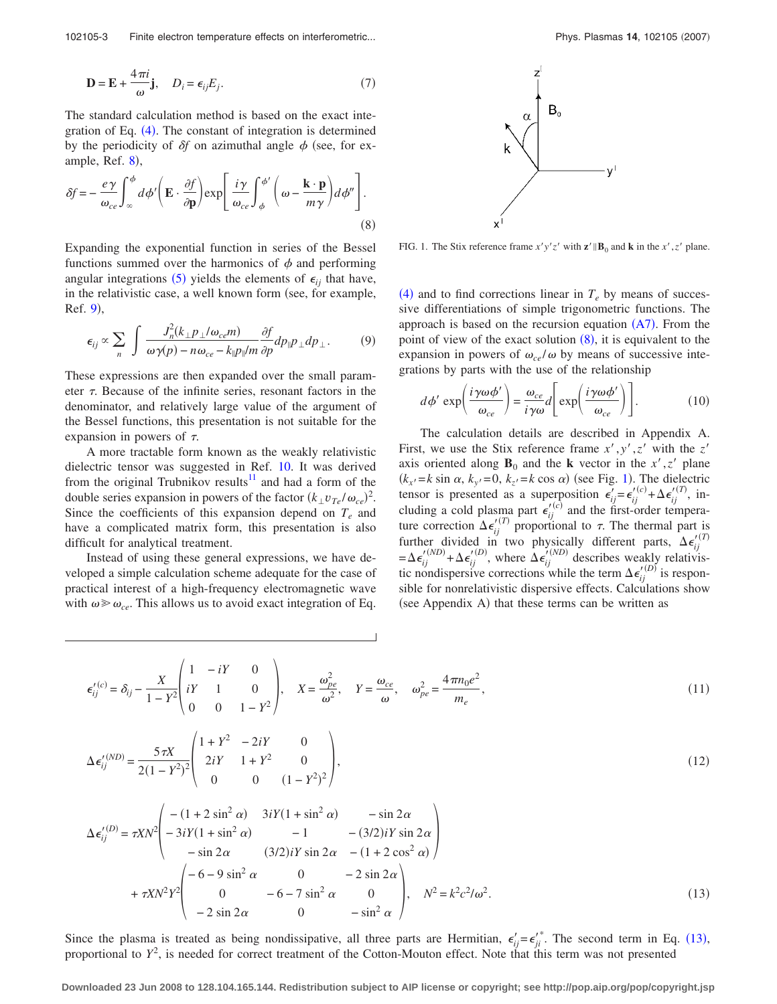102105-3 Finite electron temperature effects on interferometric...

$$
\mathbf{D} = \mathbf{E} + \frac{4\pi i}{\omega} \mathbf{j}, \quad D_i = \epsilon_{ij} E_j.
$$
 (7)

The standard calculation method is based on the exact integration of Eq.  $(4)$ . The constant of integration is determined by the periodicity of  $\delta f$  on azimuthal angle  $\phi$  (see, for example, Ref.  $8$ ),

$$
\delta f = -\frac{e\gamma}{\omega_{ce}} \int_{-\infty}^{\phi} d\phi' \left( \mathbf{E} \cdot \frac{\partial f}{\partial \mathbf{p}} \right) \exp \left[ \frac{i\gamma}{\omega_{ce}} \int_{\phi}^{\phi'} \left( \omega - \frac{\mathbf{k} \cdot \mathbf{p}}{m\gamma} \right) d\phi'' \right].
$$
\n(8)

Expanding the exponential function in series of the Bessel functions summed over the harmonics of  $\phi$  and performing angular integrations (5) yields the elements of  $\epsilon_{ij}$  that have, in the relativistic case, a well known form (see, for example, Ref. 9,

$$
\epsilon_{ij} \propto \sum_{n} \int \frac{J_n^2 (k_{\perp} p_{\perp} / \omega_{ce} m)}{\omega \gamma(p) - n \omega_{ce} - k_{\parallel} p_{\parallel} / m} \frac{\partial f}{\partial p} dp_{\parallel} p_{\perp} dp_{\perp}.
$$
 (9)

These expressions are then expanded over the small parameter  $\tau$ . Because of the infinite series, resonant factors in the denominator, and relatively large value of the argument of the Bessel functions, this presentation is not suitable for the expansion in powers of  $\tau$ .

A more tractable form known as the weakly relativistic dielectric tensor was suggested in Ref. 10. It was derived from the original Trubnikov results<sup>11</sup> and had a form of the double series expansion in powers of the factor  $(k_{\perp}v_{Te}/\omega_{ce})^2$ . Since the coefficients of this expansion depend on  $T_e$  and have a complicated matrix form, this presentation is also difficult for analytical treatment.

Instead of using these general expressions, we have developed a simple calculation scheme adequate for the case of practical interest of a high-frequency electromagnetic wave with  $\omega \ge \omega_{ce}$ . This allows us to avoid exact integration of Eq.



FIG. 1. The Stix reference frame  $x'y'z'$  with  $\mathbf{z}' \parallel \mathbf{B}_0$  and **k** in the  $x', z'$  plane.

 $(4)$  and to find corrections linear in  $T_e$  by means of successive differentiations of simple trigonometric functions. The approach is based on the recursion equation  $(A7)$ . From the point of view of the exact solution  $(8)$ , it is equivalent to the expansion in powers of  $\omega_{ce}/\omega$  by means of successive integrations by parts with the use of the relationship

$$
d\phi' \exp\left(\frac{i\gamma\omega\phi'}{\omega_{ce}}\right) = \frac{\omega_{ce}}{i\gamma\omega}d\left[\exp\left(\frac{i\gamma\omega\phi'}{\omega_{ce}}\right)\right].
$$
 (10)

The calculation details are described in Appendix A. First, we use the Stix reference frame  $x', y', z'$  with the  $z'$ axis oriented along  $\mathbf{B}_0$  and the **k** vector in the *x'*, *z'* plane  $(k_x = k \sin \alpha, k_y = 0, k_z = k \cos \alpha)$  (see Fig. 1). The dielectric tensor is presented as a superposition  $\epsilon_{ij}^{\prime} = \epsilon_{ij}^{\prime(c)} + \Delta \epsilon_{ij}^{\prime(T)}$ , including a cold plasma part  $\epsilon_{ij}^{\prime\prime(c)}$  and the first-order temperature correction  $\Delta \epsilon_{ij}^{(T)}$  proportional to  $\tau$ . The thermal part is<br>further divided in two physically different parts  $\Delta \epsilon_{ij}^{(T)}$ further divided in two physically different parts,  $\Delta \epsilon_{ij}^{(I)} = \Delta \epsilon_{ij}^{(ND)} + \Delta \epsilon_{ij}^{(ID)}$ , where  $\Delta \epsilon_{ij}^{(ND)}$  describes weakly relativistic nondispersive corrections while the term  $\Delta \epsilon_{ij}^{(D)}$  is responsible for nonrelativistic dispersive effects. Calculations show (see Appendix A) that these terms can be written as

$$
\epsilon_{ij}^{'(c)} = \delta_{ij} - \frac{X}{1 - Y^2} \begin{pmatrix} 1 & -iY & 0 \\ iY & 1 & 0 \\ 0 & 0 & 1 - Y^2 \end{pmatrix}, \quad X = \frac{\omega_{pe}^2}{\omega^2}, \quad Y = \frac{\omega_{ce}}{\omega}, \quad \omega_{pe}^2 = \frac{4\pi n_0 e^2}{m_e},
$$
(11)

$$
\Delta \epsilon_{ij}^{'(ND)} = \frac{5\tau X}{2(1 - Y^2)^2} \begin{pmatrix} 1 + Y^2 & -2iY & 0 \\ 2iY & 1 + Y^2 & 0 \\ 0 & 0 & (1 - Y^2)^2 \end{pmatrix},
$$
(12)

$$
\Delta \epsilon_{ij}^{'(D)} = \tau X N^2 \begin{pmatrix} -(1+2\sin^2\alpha) & 3iY(1+\sin^2\alpha) & -\sin 2\alpha \\ -3iY(1+\sin^2\alpha) & -1 & -(3/2)iY\sin 2\alpha \\ -\sin 2\alpha & (3/2)iY\sin 2\alpha & -(1+2\cos^2\alpha) \end{pmatrix}
$$
  
+  $\tau X N^2 Y^2 \begin{pmatrix} -(6-9\sin^2\alpha & 0 & -2\sin 2\alpha \\ 0 & -6-7\sin^2\alpha & 0 \\ -2\sin 2\alpha & 0 & -\sin^2\alpha \end{pmatrix}, \quad N^2 = k^2 c^2/\omega^2.$  (13)

Since the plasma is treated as being nondissipative, all three parts are Hermitian,  $\epsilon'_{ij} = \epsilon'^{i}_{ji}$ . The second term in Eq. (13), proportional to  $Y^2$ , is needed for correct treatment of the Cotton-Mouton effect. Note that this term was not presented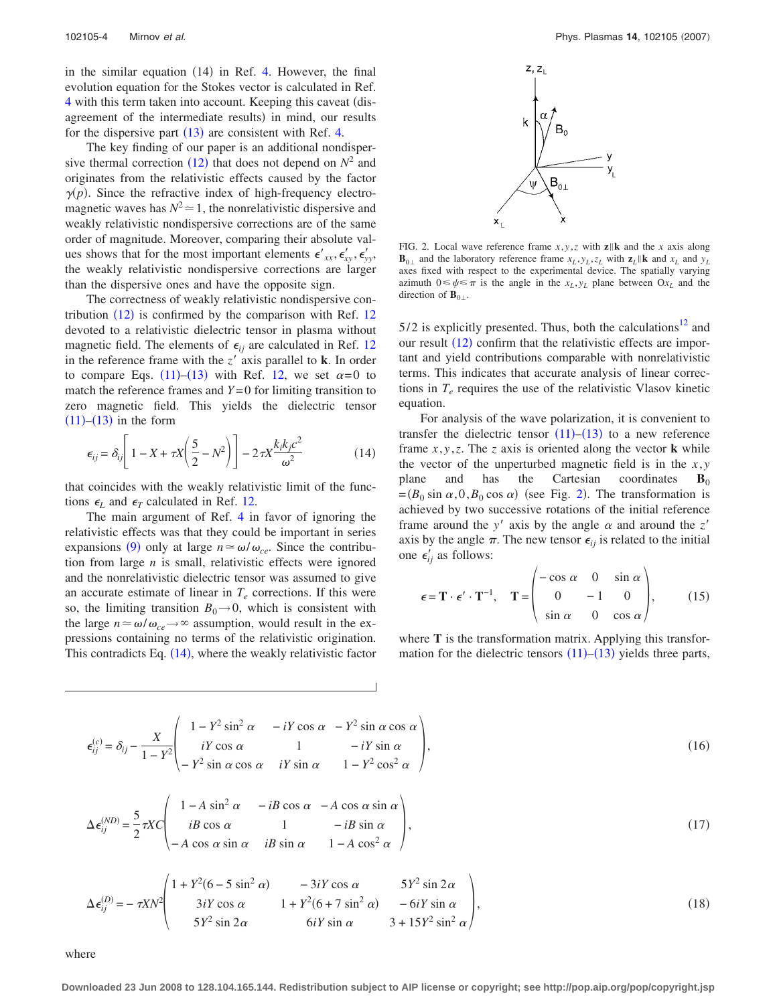in the similar equation  $(14)$  in Ref. 4. However, the final evolution equation for the Stokes vector is calculated in Ref. 4 with this term taken into account. Keeping this caveat (disagreement of the intermediate results) in mind, our results for the dispersive part  $(13)$  are consistent with Ref. 4.

The key finding of our paper is an additional nondispersive thermal correction  $(12)$  that does not depend on  $N^2$  and originates from the relativistic effects caused by the factor  $\gamma(p)$ . Since the refractive index of high-frequency electromagnetic waves has  $N^2 \approx 1$ , the nonrelativistic dispersive and weakly relativistic nondispersive corrections are of the same order of magnitude. Moreover, comparing their absolute values shows that for the most important elements  $\epsilon'_{xx}, \epsilon'_{xy}, \epsilon'_{yy}$ , the weakly relativistic nondispersive corrections are larger than the dispersive ones and have the opposite sign.

The correctness of weakly relativistic nondispersive contribution  $(12)$  is confirmed by the comparison with Ref. 12 devoted to a relativistic dielectric tensor in plasma without magnetic field. The elements of  $\epsilon_{ij}$  are calculated in Ref. 12 in the reference frame with the  $z'$  axis parallel to **k**. In order to compare Eqs.  $(11)$ – $(13)$  with Ref. 12, we set  $\alpha = 0$  to match the reference frames and  $Y=0$  for limiting transition to zero magnetic field. This yields the dielectric tensor  $(11)$ – $(13)$  in the form

$$
\epsilon_{ij} = \delta_{ij} \left[ 1 - X + \tau X \left( \frac{5}{2} - N^2 \right) \right] - 2\tau X \frac{k_i k_j c^2}{\omega^2} \tag{14}
$$

that coincides with the weakly relativistic limit of the functions  $\epsilon_L$  and  $\epsilon_T$  calculated in Ref. 12.

The main argument of Ref. 4 in favor of ignoring the relativistic effects was that they could be important in series expansions (9) only at large  $n \approx \omega/\omega_{ce}$ . Since the contribution from large *n* is small, relativistic effects were ignored and the nonrelativistic dielectric tensor was assumed to give an accurate estimate of linear in  $T_e$  corrections. If this were so, the limiting transition  $B_0 \rightarrow 0$ , which is consistent with the large  $n \approx \omega/\omega_{ce} \rightarrow \infty$  assumption, would result in the expressions containing no terms of the relativistic origination. This contradicts Eq.  $(14)$ , where the weakly relativistic factor



FIG. 2. Local wave reference frame  $x, y, z$  with  $z \parallel k$  and the *x* axis along  $\mathbf{B}_{0\perp}$  and the laboratory reference frame  $x_L, y_L, z_L$  with  $\mathbf{z}_L || \mathbf{k}$  and  $x_L$  and  $y_L$ axes fixed with respect to the experimental device. The spatially varying azimuth  $0 \le \psi \le \pi$  is the angle in the  $x_L, y_L$  plane between  $Ox_L$  and the direction of  $\mathbf{B}_{0\perp}$ .

 $5/2$  is explicitly presented. Thus, both the calculations<sup>12</sup> and our result  $(12)$  confirm that the relativistic effects are important and yield contributions comparable with nonrelativistic terms. This indicates that accurate analysis of linear corrections in  $T_e$  requires the use of the relativistic Vlasov kinetic equation.

For analysis of the wave polarization, it is convenient to transfer the dielectric tensor  $(11)$ – $(13)$  to a new reference frame  $x, y, z$ . The *z* axis is oriented along the vector **k** while the vector of the unperturbed magnetic field is in the  $x, y$ plane and has the Cartesian coordinates  $B_0$  $=(B_0 \sin \alpha, 0, B_0 \cos \alpha)$  (see Fig. 2). The transformation is achieved by two successive rotations of the initial reference frame around the *y*<sup> $\prime$ </sup> axis by the angle  $\alpha$  and around the *z*<sup> $\prime$ </sup> axis by the angle  $\pi$ . The new tensor  $\epsilon_{ij}$  is related to the initial one  $\epsilon'_{ij}$  as follows:

$$
\epsilon = \mathbf{T} \cdot \boldsymbol{\epsilon}' \cdot \mathbf{T}^{-1}, \quad \mathbf{T} = \begin{pmatrix} -\cos \alpha & 0 & \sin \alpha \\ 0 & -1 & 0 \\ \sin \alpha & 0 & \cos \alpha \end{pmatrix}, \quad (15)
$$

where **T** is the transformation matrix. Applying this transformation for the dielectric tensors  $(11)$ – $(13)$  yields three parts,

$$
\epsilon_{ij}^{(c)} = \delta_{ij} - \frac{X}{1 - Y^2} \begin{pmatrix} 1 - Y^2 \sin^2 \alpha & -iY \cos \alpha & -Y^2 \sin \alpha \cos \alpha \\ iY \cos \alpha & 1 & -iY \sin \alpha \\ -Y^2 \sin \alpha \cos \alpha & iY \sin \alpha & 1 - Y^2 \cos^2 \alpha \end{pmatrix},
$$
(16)

$$
\Delta \epsilon_{ij}^{(ND)} = \frac{5}{2} \tau XC \begin{pmatrix} 1 - A \sin^2 \alpha & -iB \cos \alpha & -A \cos \alpha \sin \alpha \\ iB \cos \alpha & 1 & -iB \sin \alpha \\ -A \cos \alpha \sin \alpha & iB \sin \alpha & 1 - A \cos^2 \alpha \end{pmatrix},
$$
(17)

$$
\Delta \epsilon_{ij}^{(D)} = -\tau X N^2 \begin{pmatrix} 1 + Y^2 (6 - 5 \sin^2 \alpha) & -3iY \cos \alpha & 5Y^2 \sin 2\alpha \\ 3iY \cos \alpha & 1 + Y^2 (6 + 7 \sin^2 \alpha) & -6iY \sin \alpha \\ 5Y^2 \sin 2\alpha & 6iY \sin \alpha & 3 + 15Y^2 \sin^2 \alpha \end{pmatrix},
$$
\n(18)

where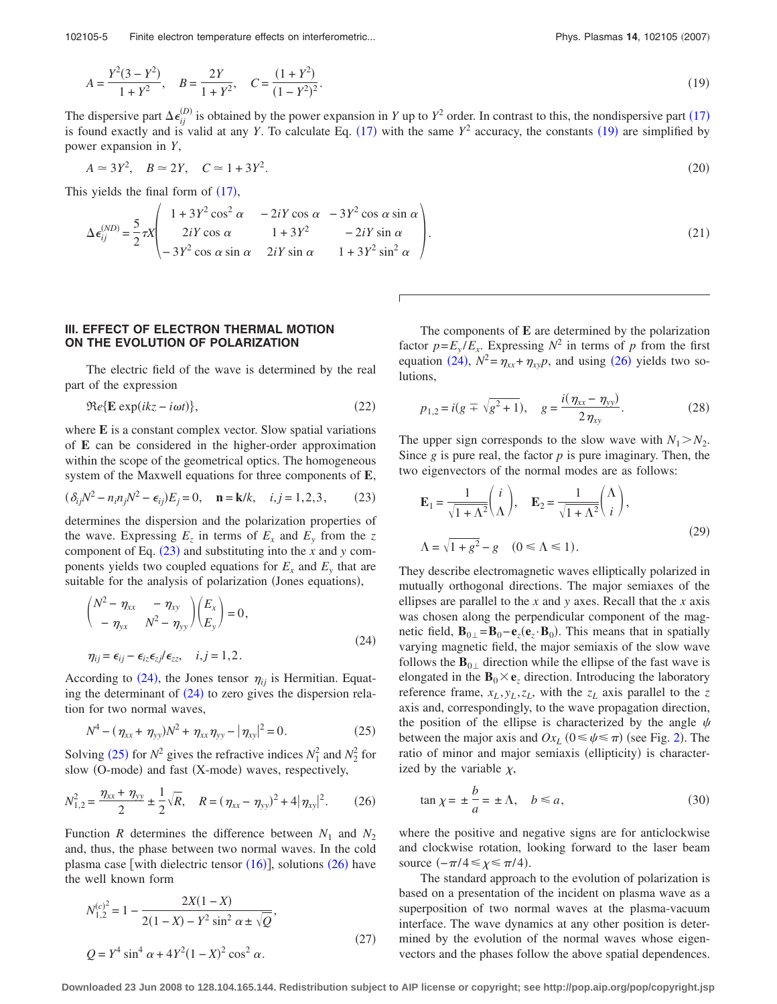102105-5 Finite electron temperature effects on interferometric...

$$
A = \frac{Y^2(3 - Y^2)}{1 + Y^2}, \quad B = \frac{2Y}{1 + Y^2}, \quad C = \frac{(1 + Y^2)}{(1 - Y^2)^2}.
$$
\n<sup>(19)</sup>

The dispersive part  $\Delta \epsilon_{ij}^{(D)}$  is obtained by the power expansion in *Y* up to *Y*<sup>2</sup> order. In contrast to this, the nondispersive part (17) is found exactly and is valid at any *Y*. To calculate Eq. (17) with the same  $Y^2$  accuracy, the constants (19) are simplified by power expansion in *Y*,

$$
A \simeq 3Y^2, \quad B \simeq 2Y, \quad C \simeq 1 + 3Y^2. \tag{20}
$$

This yields the final form of  $(17)$ ,

$$
\Delta \epsilon_{ij}^{(ND)} = \frac{5}{2} \tau X \begin{pmatrix} 1 + 3Y^2 \cos^2 \alpha & -2iY \cos \alpha & -3Y^2 \cos \alpha \sin \alpha \\ 2iY \cos \alpha & 1 + 3Y^2 & -2iY \sin \alpha \\ -3Y^2 \cos \alpha \sin \alpha & 2iY \sin \alpha & 1 + 3Y^2 \sin^2 \alpha \end{pmatrix} .
$$
 (21)

#### **III. EFFECT OF ELECTRON THERMAL MOTION ON THE EVOLUTION OF POLARIZATION**

The electric field of the wave is determined by the real part of the expression

$$
\Re e{\mathbf{E}\exp(ikz - i\omega t)}\tag{22}
$$

where **E** is a constant complex vector. Slow spatial variations of **E** can be considered in the higher-order approximation within the scope of the geometrical optics. The homogeneous system of the Maxwell equations for three components of **E**,

$$
(\delta_{ij}N^2 - n_i n_j N^2 - \epsilon_{ij})E_j = 0, \quad \mathbf{n} = \mathbf{k}/k, \quad i, j = 1, 2, 3,
$$
 (23)

determines the dispersion and the polarization properties of the wave. Expressing  $E_z$  in terms of  $E_x$  and  $E_y$  from the z component of Eq.  $(23)$  and substituting into the *x* and *y* components yields two coupled equations for  $E_x$  and  $E_y$  that are suitable for the analysis of polarization (Jones equations),

$$
\begin{pmatrix} N^2 - \eta_{xx} & -\eta_{xy} \\ -\eta_{yx} & N^2 - \eta_{yy} \end{pmatrix} \begin{pmatrix} E_x \\ E_y \end{pmatrix} = 0,
$$
  

$$
\eta_{ij} = \epsilon_{ij} - \epsilon_{iz} \epsilon_{zj} / \epsilon_{zz}, \quad i, j = 1, 2.
$$
 (24)

According to  $(24)$ , the Jones tensor  $\eta_{ij}$  is Hermitian. Equating the determinant of  $(24)$  to zero gives the dispersion relation for two normal waves,

$$
N^4 - (\eta_{xx} + \eta_{yy})N^2 + \eta_{xx}\eta_{yy} - |\eta_{xy}|^2 = 0.
$$
 (25)

Solving (25) for  $N^2$  gives the refractive indices  $N_1^2$  and  $N_2^2$  for slow (O-mode) and fast (X-mode) waves, respectively,

$$
N_{1,2}^2 = \frac{\eta_{xx} + \eta_{yy}}{2} \pm \frac{1}{2} \sqrt{R}, \quad R = (\eta_{xx} - \eta_{yy})^2 + 4 |\eta_{xy}|^2. \tag{26}
$$

Function *R* determines the difference between  $N_1$  and  $N_2$ and, thus, the phase between two normal waves. In the cold plasma case [with dielectric tensor  $(16)$ ], solutions  $(26)$  have the well known form

$$
N_{1,2}^{(c)^{2}} = 1 - \frac{2X(1-X)}{2(1-X) - Y^{2} \sin^{2} \alpha \pm \sqrt{Q}},
$$
  

$$
Q = Y^{4} \sin^{4} \alpha + 4Y^{2}(1-X)^{2} \cos^{2} \alpha.
$$
 (27)

The components of **E** are determined by the polarization factor  $p = E_y / E_x$ . Expressing  $N^2$  in terms of *p* from the first equation  $(24)$ ,  $N^2 = \eta_{xx} + \eta_{xy}p$ , and using  $(26)$  yields two solutions,

$$
p_{1,2} = i(g \pm \sqrt{g^2 + 1}), \quad g = \frac{i(\eta_{xx} - \eta_{yy})}{2\eta_{xy}}.
$$
 (28)

The upper sign corresponds to the slow wave with  $N_1 > N_2$ . Since *g* is pure real, the factor *p* is pure imaginary. Then, the two eigenvectors of the normal modes are as follows:

$$
\mathbf{E}_1 = \frac{1}{\sqrt{1 + \Lambda^2}} \begin{pmatrix} i \\ \Lambda \end{pmatrix}, \quad \mathbf{E}_2 = \frac{1}{\sqrt{1 + \Lambda^2}} \begin{pmatrix} \Lambda \\ i \end{pmatrix},
$$

$$
\Lambda = \sqrt{1 + g^2} - g \quad (0 \le \Lambda \le 1).
$$
 (29)

They describe electromagnetic waves elliptically polarized in mutually orthogonal directions. The major semiaxes of the ellipses are parallel to the *x* and *y* axes. Recall that the *x* axis was chosen along the perpendicular component of the magnetic field,  $\mathbf{B}_{0\perp} = \mathbf{B}_0 - \mathbf{e}_z(\mathbf{e}_z \cdot \mathbf{B}_0)$ . This means that in spatially varying magnetic field, the major semiaxis of the slow wave follows the  $\mathbf{B}_{0\perp}$  direction while the ellipse of the fast wave is elongated in the  $\mathbf{B}_0 \times \mathbf{e}_z$  direction. Introducing the laboratory reference frame,  $x_L$ ,  $y_L$ ,  $z_L$ , with the  $z_L$  axis parallel to the  $z$ axis and, correspondingly, to the wave propagation direction, the position of the ellipse is characterized by the angle  $\psi$ between the major axis and  $Ox_L$  ( $0 \le \psi \le \pi$ ) (see Fig. 2). The ratio of minor and major semiaxis (ellipticity) is characterized by the variable  $\chi$ ,

$$
\tan \chi = \pm \frac{b}{a} = \pm \Lambda, \quad b \le a,\tag{30}
$$

where the positive and negative signs are for anticlockwise and clockwise rotation, looking forward to the laser beam source  $(-\pi/4 \leq \chi \leq \pi/4)$ .

The standard approach to the evolution of polarization is based on a presentation of the incident on plasma wave as a superposition of two normal waves at the plasma-vacuum interface. The wave dynamics at any other position is determined by the evolution of the normal waves whose eigenvectors and the phases follow the above spatial dependences.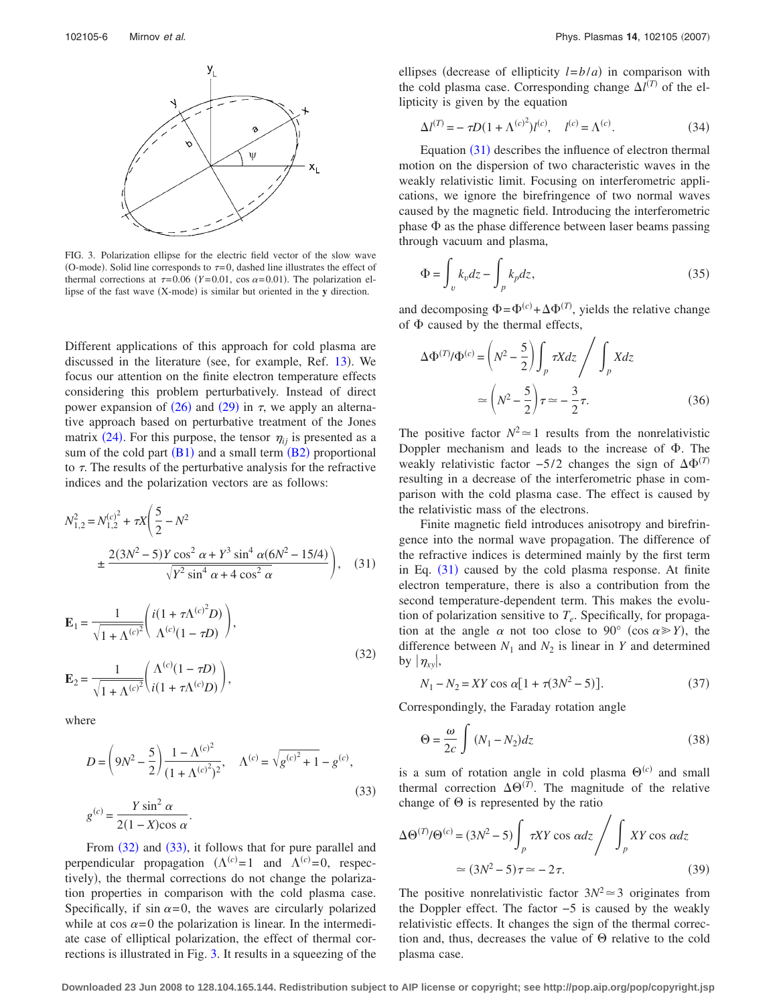

FIG. 3. Polarization ellipse for the electric field vector of the slow wave (O-mode). Solid line corresponds to  $\tau = 0$ , dashed line illustrates the effect of thermal corrections at  $\tau = 0.06$  (*Y* = 0.01, cos  $\alpha = 0.01$ ). The polarization ellipse of the fast wave (X-mode) is similar but oriented in the y direction.

Different applications of this approach for cold plasma are discussed in the literature (see, for example, Ref. 13). We focus our attention on the finite electron temperature effects considering this problem perturbatively. Instead of direct power expansion of  $(26)$  and  $(29)$  in  $\tau$ , we apply an alternative approach based on perturbative treatment of the Jones matrix  $(24)$ . For this purpose, the tensor  $\eta_{ij}$  is presented as a sum of the cold part  $(B1)$  and a small term  $(B2)$  proportional to  $\tau$ . The results of the perturbative analysis for the refractive indices and the polarization vectors are as follows:

$$
N_{1,2}^{2} = N_{1,2}^{(c)^{2}} + \tau X \left( \frac{5}{2} - N^{2} \pm \frac{2(3N^{2} - 5)Y \cos^{2} \alpha + Y^{3} \sin^{4} \alpha (6N^{2} - 15/4)}{\sqrt{Y^{2} \sin^{4} \alpha + 4 \cos^{2} \alpha}} \right), \quad (31)
$$

$$
\mathbf{E}_{1} = \frac{1}{\sqrt{1 + \Lambda^{(c)^{2}}}} \left( \frac{i(1 + \tau \Lambda^{(c)^{2}} D)}{\Lambda^{(c)} (1 - \tau D)} \right),
$$
\n
$$
\mathbf{E}_{2} = \frac{1}{\sqrt{1 + \Lambda^{(c)^{2}}}} \left( \frac{\Lambda^{(c)} (1 - \tau D)}{i(1 + \tau \Lambda^{(c)} D)} \right),
$$
\n(32)

where

$$
D = \left(9N^2 - \frac{5}{2}\right) \frac{1 - \Lambda^{(c)^2}}{(1 + \Lambda^{(c)^2})^2}, \quad \Lambda^{(c)} = \sqrt{g^{(c)^2} + 1} - g^{(c)},
$$
  

$$
g^{(c)} = \frac{Y \sin^2 \alpha}{2(1 - X)\cos \alpha}.
$$
 (33)

From  $(32)$  and  $(33)$ , it follows that for pure parallel and perpendicular propagation  $(\Lambda^{(c)} = 1 \text{ and } \Lambda^{(c)} = 0, \text{ respectively})$ tively, the thermal corrections do not change the polarization properties in comparison with the cold plasma case. Specifically, if sin  $\alpha = 0$ , the waves are circularly polarized while at cos  $\alpha = 0$  the polarization is linear. In the intermediate case of elliptical polarization, the effect of thermal corrections is illustrated in Fig. 3. It results in a squeezing of the

ellipses (decrease of ellipticity  $l = b/a$ ) in comparison with the cold plasma case. Corresponding change  $\Delta l^{(T)}$  of the ellipticity is given by the equation

$$
\Delta l^{(T)} = -\tau D (1 + \Lambda^{(c)^2}) l^{(c)}, \quad l^{(c)} = \Lambda^{(c)}.
$$
 (34)

Equation  $(31)$  describes the influence of electron thermal motion on the dispersion of two characteristic waves in the weakly relativistic limit. Focusing on interferometric applications, we ignore the birefringence of two normal waves caused by the magnetic field. Introducing the interferometric phase  $\Phi$  as the phase difference between laser beams passing through vacuum and plasma,

$$
\Phi = \int_{v} k_v dz - \int_{p} k_p dz,
$$
\n(35)

and decomposing  $\Phi = \Phi^{(c)} + \Delta \Phi^{(T)}$ , yields the relative change of  $\Phi$  caused by the thermal effects,

$$
\Delta \Phi^{(T)} / \Phi^{(c)} = \left( N^2 - \frac{5}{2} \right) \int_p \tau X dz \Bigg/ \int_p X dz
$$

$$
\approx \left( N^2 - \frac{5}{2} \right) \tau \approx -\frac{3}{2} \tau. \tag{36}
$$

The positive factor  $N^2 \approx 1$  results from the nonrelativistic Doppler mechanism and leads to the increase of  $\Phi$ . The weakly relativistic factor  $-5/2$  changes the sign of  $\Delta\Phi^{(T)}$ resulting in a decrease of the interferometric phase in comparison with the cold plasma case. The effect is caused by the relativistic mass of the electrons.

Finite magnetic field introduces anisotropy and birefringence into the normal wave propagation. The difference of the refractive indices is determined mainly by the first term in Eq.  $(31)$  caused by the cold plasma response. At finite electron temperature, there is also a contribution from the second temperature-dependent term. This makes the evolution of polarization sensitive to  $T_e$ . Specifically, for propagation at the angle  $\alpha$  not too close to 90° (cos  $\alpha \gg Y$ ), the difference between  $N_1$  and  $N_2$  is linear in *Y* and determined by  $|\eta_{xy}|$ ,

$$
N_1 - N_2 = XY \cos \alpha [1 + \tau (3N^2 - 5)].
$$
 (37)

Correspondingly, the Faraday rotation angle

$$
\Theta = \frac{\omega}{2c} \int (N_1 - N_2) dz \tag{38}
$$

is a sum of rotation angle in cold plasma  $\Theta^{(c)}$  and small thermal correction  $\Delta\Theta^{(T)}$ . The magnitude of the relative change of  $\Theta$  is represented by the ratio

$$
\Delta \Theta^{(T)} / \Theta^{(c)} = (3N^2 - 5) \int_p \tau XY \cos \alpha dz \bigg/ \int_p XY \cos \alpha dz
$$
  
 
$$
\approx (3N^2 - 5)\tau \approx -2\tau.
$$
 (39)

The positive nonrelativistic factor  $3N^2 \approx 3$  originates from the Doppler effect. The factor −5 is caused by the weakly relativistic effects. It changes the sign of the thermal correction and, thus, decreases the value of  $\Theta$  relative to the cold plasma case.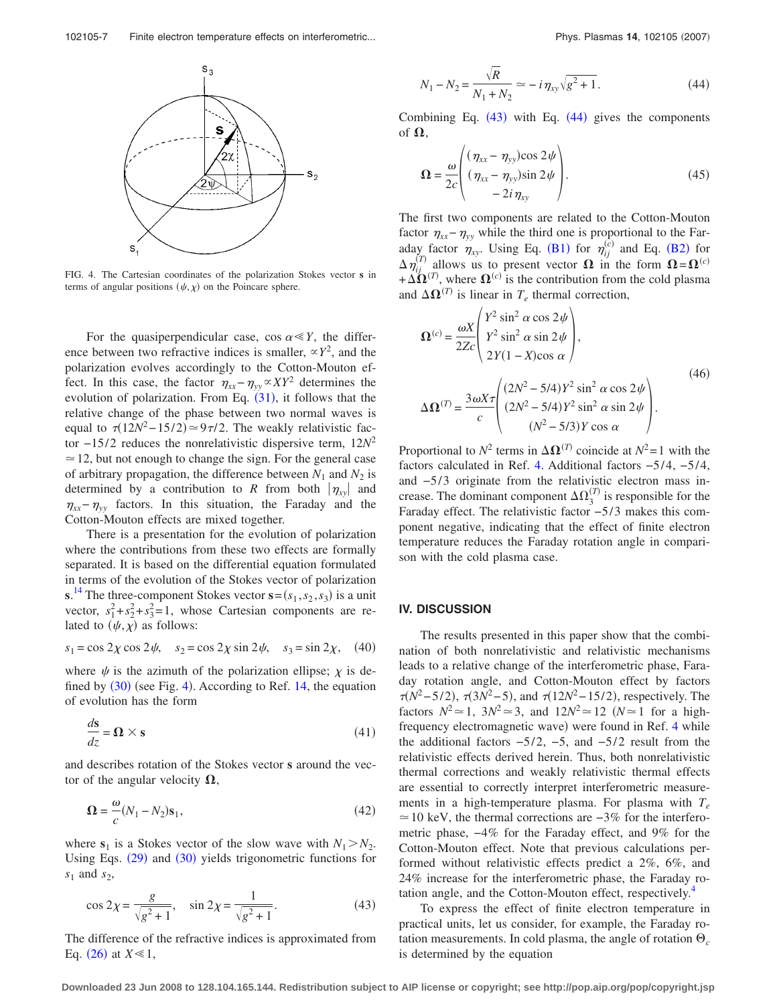

FIG. 4. The Cartesian coordinates of the polarization Stokes vector **s** in terms of angular positions  $(\psi, \chi)$  on the Poincare sphere.

For the quasiperpendicular case,  $\cos \alpha \ll Y$ , the difference between two refractive indices is smaller,  $\propto Y^2$ , and the polarization evolves accordingly to the Cotton-Mouton effect. In this case, the factor  $\eta_{xx} - \eta_{yy} \propto XY^2$  determines the evolution of polarization. From Eq.  $(31)$ , it follows that the relative change of the phase between two normal waves is equal to  $\tau(12N^2 - 15/2) \approx 9\tau/2$ . The weakly relativistic factor −15/2 reduces the nonrelativistic dispersive term,  $12N^2$  $\approx$  12, but not enough to change the sign. For the general case of arbitrary propagation, the difference between  $N_1$  and  $N_2$  is determined by a contribution to *R* from both  $|\eta_{xy}|$  and  $\eta_{xx}$ − $\eta_{yy}$  factors. In this situation, the Faraday and the Cotton-Mouton effects are mixed together.

There is a presentation for the evolution of polarization where the contributions from these two effects are formally separated. It is based on the differential equation formulated in terms of the evolution of the Stokes vector of polarization **s**.<sup>14</sup> The three-component Stokes vector  $\mathbf{s} = (s_1, s_2, s_3)$  is a unit vector,  $s_1^2 + s_2^2 + s_3^2 = 1$ , whose Cartesian components are related to  $(\psi, \chi)$  as follows:

$$
s_1 = \cos 2\chi \cos 2\psi, \quad s_2 = \cos 2\chi \sin 2\psi, \quad s_3 = \sin 2\chi, \quad (40)
$$

where  $\psi$  is the azimuth of the polarization ellipse;  $\chi$  is defined by  $(30)$  (see Fig. 4). According to Ref. 14, the equation of evolution has the form

$$
\frac{ds}{dz} = \mathbf{\Omega} \times \mathbf{s} \tag{41}
$$

and describes rotation of the Stokes vector **s** around the vector of the angular velocity  $\Omega$ ,

$$
\mathbf{\Omega} = -\frac{\omega}{c}(N_1 - N_2)\mathbf{s}_1,\tag{42}
$$

where  $s_1$  is a Stokes vector of the slow wave with  $N_1 > N_2$ . Using Eqs.  $(29)$  and  $(30)$  yields trigonometric functions for *s*<sup>1</sup> and *s*2,

$$
\cos 2\chi = \frac{g}{\sqrt{g^2 + 1}}, \quad \sin 2\chi = \frac{1}{\sqrt{g^2 + 1}}.
$$
 (43)

The difference of the refractive indices is approximated from Eq.  $(26)$  at  $X \ll 1$ ,

$$
N_1 - N_2 = \frac{\sqrt{R}}{N_1 + N_2} \simeq -i \eta_{xy} \sqrt{g^2 + 1}.
$$
 (44)

Combining Eq.  $(43)$  with Eq.  $(44)$  gives the components of  $\boldsymbol{\Omega},$ 

$$
\mathbf{\Omega} = \frac{\omega}{2c} \begin{pmatrix} (\eta_{xx} - \eta_{yy}) \cos 2\psi \\ (\eta_{xx} - \eta_{yy}) \sin 2\psi \\ -2i\eta_{xy} \end{pmatrix} . \tag{45}
$$

The first two components are related to the Cotton-Mouton factor  $\eta_{xx}$ − $\eta_{yy}$  while the third one is proportional to the Faraday factor  $\eta_{xy}$ . Using Eq. (B1) for  $\eta_{ij}^{(c)}$  and Eq. (B2) for  $\Delta \eta_{ij}^{(T)}$  allows us to present vector  $\Omega$  in the form  $\Omega = \Omega^{(c)}$  $+\Delta \Omega^{(T)}$ , where  $\Omega^{(c)}$  is the contribution from the cold plasma and  $\Delta \Omega^{(T)}$  is linear in  $T_e$  thermal correction,

$$
\mathbf{\Omega}^{(c)} = \frac{\omega X}{2Zc} \begin{pmatrix} Y^2 \sin^2 \alpha \cos 2\psi \\ Y^2 \sin^2 \alpha \sin 2\psi \\ 2Y(1-X)\cos \alpha \end{pmatrix},
$$
  
\n
$$
\Delta \mathbf{\Omega}^{(T)} = \frac{3\omega X \tau}{c} \begin{pmatrix} (2N^2 - 5/4)Y^2 \sin^2 \alpha \cos 2\psi \\ (2N^2 - 5/4)Y^2 \sin^2 \alpha \sin 2\psi \\ (N^2 - 5/3)Y \cos \alpha \end{pmatrix}.
$$
\n(46)

Proportional to  $N^2$  terms in  $\Delta \Omega^{(T)}$  coincide at  $N^2 = 1$  with the factors calculated in Ref. 4. Additional factors −5/4, −5/4, and  $-5/3$  originate from the relativistic electron mass increase. The dominant component  $\Delta\Omega_3^{(T)}$  is responsible for the Faraday effect. The relativistic factor -5/3 makes this component negative, indicating that the effect of finite electron temperature reduces the Faraday rotation angle in comparison with the cold plasma case.

#### **IV. DISCUSSION**

The results presented in this paper show that the combination of both nonrelativistic and relativistic mechanisms leads to a relative change of the interferometric phase, Faraday rotation angle, and Cotton-Mouton effect by factors *π*(*N*<sup>2</sup>−5/2), *π*(3*N*<sup>2</sup>−5), and *π*(12*N*<sup>2</sup>−15/2), respectively. The factors  $N^2 \approx 1$ ,  $3N^2 \approx 3$ , and  $12N^2 \approx 12$  ( $N \approx 1$  for a highfrequency electromagnetic wave) were found in Ref. 4 while the additional factors  $-5/2$ ,  $-5$ , and  $-5/2$  result from the relativistic effects derived herein. Thus, both nonrelativistic thermal corrections and weakly relativistic thermal effects are essential to correctly interpret interferometric measurements in a high-temperature plasma. For plasma with  $T_e$  $\approx$  10 keV, the thermal corrections are  $-3\%$  for the interferometric phase, −4% for the Faraday effect, and 9% for the Cotton-Mouton effect. Note that previous calculations performed without relativistic effects predict a 2%, 6%, and 24% increase for the interferometric phase, the Faraday rotation angle, and the Cotton-Mouton effect, respectively.<sup>4</sup>

To express the effect of finite electron temperature in practical units, let us consider, for example, the Faraday rotation measurements. In cold plasma, the angle of rotation  $\Theta_c$ is determined by the equation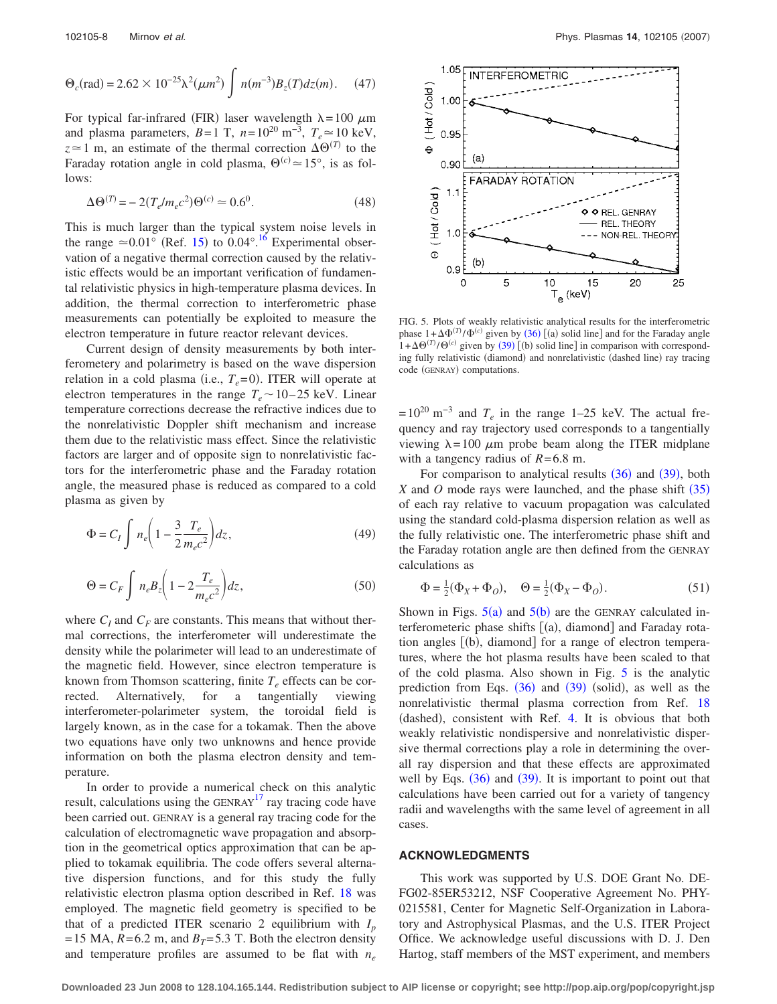$$
\Theta_c(\text{rad}) = 2.62 \times 10^{-25} \lambda^2 (\mu m^2) \int n(m^{-3}) B_z(T) dz(m). \quad (47)
$$

For typical far-infrared (FIR) laser wavelength  $\lambda = 100 \mu m$ and plasma parameters,  $B=1$  T,  $n=10^{20}$  m<sup>-3</sup>,  $T_e \approx 10$  keV,  $z \approx 1$  m, an estimate of the thermal correction  $\Delta\Theta^{(T)}$  to the Faraday rotation angle in cold plasma,  $\Theta^{(c)} \approx 15^{\circ}$ , is as follows:

$$
\Delta \Theta^{(T)} = -2(T_e/m_e c^2) \Theta^{(c)} \simeq 0.6^0.
$$
 (48)

This is much larger than the typical system noise levels in the range  $\simeq 0.01^{\circ}$  (Ref. 15) to 0.04°.<sup>16</sup> Experimental observation of a negative thermal correction caused by the relativistic effects would be an important verification of fundamental relativistic physics in high-temperature plasma devices. In addition, the thermal correction to interferometric phase measurements can potentially be exploited to measure the electron temperature in future reactor relevant devices.

Current design of density measurements by both interferometery and polarimetry is based on the wave dispersion relation in a cold plasma (i.e.,  $T_e$ =0). ITER will operate at electron temperatures in the range  $T_e \sim 10-25$  keV. Linear temperature corrections decrease the refractive indices due to the nonrelativistic Doppler shift mechanism and increase them due to the relativistic mass effect. Since the relativistic factors are larger and of opposite sign to nonrelativistic factors for the interferometric phase and the Faraday rotation angle, the measured phase is reduced as compared to a cold plasma as given by

$$
\Phi = C_I \int n_e \left( 1 - \frac{3}{2} \frac{T_e}{m_e c^2} \right) dz, \tag{49}
$$

$$
\Theta = C_F \int n_e B_z \left( 1 - 2 \frac{T_e}{m_e c^2} \right) dz, \tag{50}
$$

where  $C_I$  and  $C_F$  are constants. This means that without thermal corrections, the interferometer will underestimate the density while the polarimeter will lead to an underestimate of the magnetic field. However, since electron temperature is known from Thomson scattering, finite  $T_e$  effects can be corrected. Alternatively, for a tangentially viewing interferometer-polarimeter system, the toroidal field is largely known, as in the case for a tokamak. Then the above two equations have only two unknowns and hence provide information on both the plasma electron density and temperature.

In order to provide a numerical check on this analytic result, calculations using the  $\text{GENRAY}^{17}$  ray tracing code have been carried out. GENRAY is a general ray tracing code for the calculation of electromagnetic wave propagation and absorption in the geometrical optics approximation that can be applied to tokamak equilibria. The code offers several alternative dispersion functions, and for this study the fully relativistic electron plasma option described in Ref. 18 was employed. The magnetic field geometry is specified to be that of a predicted ITER scenario 2 equilibrium with  $I_p$ = 15 MA,  $R = 6.2$  m, and  $B_T = 5.3$  T. Both the electron density and temperature profiles are assumed to be flat with *ne*



FIG. 5. Plots of weakly relativistic analytical results for the interferometric phase  $1 + \Delta \Phi^{(T)}/\Phi^{(c)}$  given by (36) [(a) solid line] and for the Faraday angle  $1 + \Delta\Theta^{(T)}/\Theta^{(c)}$  given by (39) [(b) solid line] in comparison with corresponding fully relativistic (diamond) and nonrelativistic (dashed line) ray tracing code (GENRAY) computations.

 $= 10^{20}$  m<sup>-3</sup> and  $T_e$  in the range 1–25 keV. The actual frequency and ray trajectory used corresponds to a tangentially viewing  $\lambda = 100 \mu m$  probe beam along the ITER midplane with a tangency radius of  $R = 6.8$  m.

For comparison to analytical results  $(36)$  and  $(39)$ , both *X* and *O* mode rays were launched, and the phase shift (35) of each ray relative to vacuum propagation was calculated using the standard cold-plasma dispersion relation as well as the fully relativistic one. The interferometric phase shift and the Faraday rotation angle are then defined from the GENRAY calculations as

$$
\Phi = \frac{1}{2}(\Phi_X + \Phi_O), \quad \Theta = \frac{1}{2}(\Phi_X - \Phi_O).
$$
 (51)

Shown in Figs.  $5(a)$  and  $5(b)$  are the GENRAY calculated interferometeric phase shifts [(a), diamond] and Faraday rotation angles [(b), diamond] for a range of electron temperatures, where the hot plasma results have been scaled to that of the cold plasma. Also shown in Fig. 5 is the analytic prediction from Eqs.  $(36)$  and  $(39)$  (solid), as well as the nonrelativistic thermal plasma correction from Ref. 18 (dashed), consistent with Ref. 4. It is obvious that both weakly relativistic nondispersive and nonrelativistic dispersive thermal corrections play a role in determining the overall ray dispersion and that these effects are approximated well by Eqs.  $(36)$  and  $(39)$ . It is important to point out that calculations have been carried out for a variety of tangency radii and wavelengths with the same level of agreement in all cases.

#### **ACKNOWLEDGMENTS**

This work was supported by U.S. DOE Grant No. DE-FG02-85ER53212, NSF Cooperative Agreement No. PHY-0215581, Center for Magnetic Self-Organization in Laboratory and Astrophysical Plasmas, and the U.S. ITER Project Office. We acknowledge useful discussions with D. J. Den Hartog, staff members of the MST experiment, and members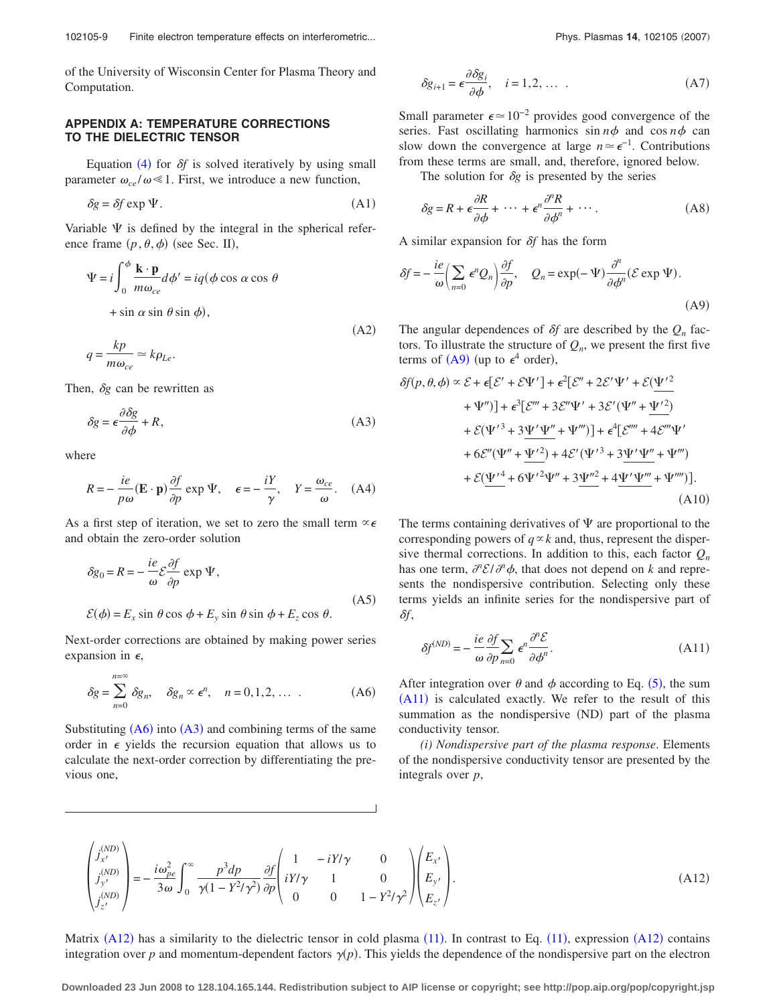of the University of Wisconsin Center for Plasma Theory and Computation.

## **APPENDIX A: TEMPERATURE CORRECTIONS TO THE DIELECTRIC TENSOR**

Equation  $(4)$  for  $\delta f$  is solved iteratively by using small parameter  $\omega_{ce} / \omega \ll 1$ . First, we introduce a new function,

$$
\delta g = \delta f \exp \Psi. \tag{A1}
$$

Variable  $\Psi$  is defined by the integral in the spherical reference frame  $(p, \theta, \phi)$  (see Sec. II),

$$
\Psi = i \int_0^{\phi} \frac{\mathbf{k} \cdot \mathbf{p}}{m \omega_{ce}} d\phi' = iq(\phi \cos \alpha \cos \theta)
$$

 $+ \sin \alpha \sin \theta \sin \phi$ ,

$$
q = \frac{kp}{m\omega_{ce}} \simeq k\rho_{Le}.
$$
\n(A2)

Then,  $\delta g$  can be rewritten as

$$
\delta g = \epsilon \frac{\partial \delta g}{\partial \phi} + R,\tag{A3}
$$

where

$$
R = -\frac{ie}{p\omega} (\mathbf{E} \cdot \mathbf{p}) \frac{\partial f}{\partial p} \exp \Psi, \quad \epsilon = -\frac{iY}{\gamma}, \quad Y = \frac{\omega_{ce}}{\omega}.
$$
 (A4)

As a first step of iteration, we set to zero the small term  $\alpha \in \mathcal{L}$ and obtain the zero-order solution

$$
\delta g_0 = R = -\frac{ie}{\omega} \mathcal{E} \frac{\partial f}{\partial p} \exp \Psi,
$$
  

$$
\mathcal{E}(\phi) = E_x \sin \theta \cos \phi + E_y \sin \theta \sin \phi + E_z \cos \theta.
$$
 (A5)

Next-order corrections are obtained by making power series expansion in  $\epsilon$ ,

$$
\delta g = \sum_{n=0}^{n=\infty} \delta g_n, \quad \delta g_n \propto \epsilon^n, \quad n = 0, 1, 2, \dots \quad (A6)
$$

Substituting  $(A6)$  into  $(A3)$  and combining terms of the same order in  $\epsilon$  yields the recursion equation that allows us to calculate the next-order correction by differentiating the previous one,

$$
\delta g_{i+1} = \epsilon \frac{\partial \delta g_i}{\partial \phi}, \quad i = 1, 2, \dots \tag{A7}
$$

Small parameter  $\epsilon \approx 10^{-2}$  provides good convergence of the series. Fast oscillating harmonics  $\sin n\phi$  and  $\cos n\phi$  can slow down the convergence at large  $n \approx \epsilon^{-1}$ . Contributions from these terms are small, and, therefore, ignored below.

The solution for  $\delta g$  is presented by the series

$$
\delta g = R + \epsilon \frac{\partial R}{\partial \phi} + \dots + \epsilon^n \frac{\partial^n R}{\partial \phi^n} + \dots \tag{A8}
$$

A similar expansion for  $\delta f$  has the form

$$
\delta f = -\frac{ie}{\omega} \left( \sum_{n=0}^{\infty} \epsilon^n Q_n \right) \frac{\partial f}{\partial p}, \quad Q_n = \exp(-\Psi) \frac{\partial^n}{\partial \phi^n} (\mathcal{E} \exp \Psi).
$$
\n(A9)

The angular dependences of  $\delta f$  are described by the  $Q_n$  factors. To illustrate the structure of  $Q_n$ , we present the first five terms of  $(A9)$  (up to  $\epsilon^4$  order),

$$
\delta f(p, \theta, \phi) \propto \mathcal{E} + \epsilon [\mathcal{E}' + \mathcal{E}\Psi'] + \epsilon^2 [\mathcal{E}'' + 2\mathcal{E}'\Psi' + \mathcal{E}(\Psi'^2 + \Psi'')] + \epsilon^3 [\mathcal{E}''' + 3\mathcal{E}''\Psi' + 3\mathcal{E}'(\Psi'' + \Psi'^2) + \mathcal{E}(\Psi'^3 + 3\Psi'\Psi'' + \Psi''')] + \epsilon^4 [\mathcal{E}'''' + 4\mathcal{E}''' \Psi' + 6\mathcal{E}''(\Psi'' + \Psi'^2) + 4\mathcal{E}'(\Psi'^3 + 3\Psi'\Psi'' + \Psi''') + \mathcal{E}(\Psi'^4 + 6\Psi'^2\Psi'' + 3\Psi''^2 + 4\Psi'\Psi'''' + \Psi'''')].
$$
\n(A10)

The terms containing derivatives of  $\Psi$  are proportional to the corresponding powers of  $q \propto k$  and, thus, represent the dispersive thermal corrections. In addition to this, each factor  $Q_n$ has one term,  $\frac{\partial^n \mathcal{E}}{\partial^n \phi}$ , that does not depend on *k* and represents the nondispersive contribution. Selecting only these terms yields an infinite series for the nondispersive part of *f*,

$$
\delta f^{(ND)} = -\frac{ie}{\omega} \frac{\partial f}{\partial p} \sum_{n=0} \epsilon^n \frac{\partial^n \mathcal{E}}{\partial \phi^n}.
$$
 (A11)

After integration over  $\theta$  and  $\phi$  according to Eq. (5), the sum (A11) is calculated exactly. We refer to the result of this summation as the nondispersive (ND) part of the plasma conductivity tensor.

*(i) Nondispersive part of the plasma response*. Elements of the nondispersive conductivity tensor are presented by the integrals over *p*,

$$
\begin{pmatrix} j_{x'}^{(ND)} \\ j_{y'}^{(ND)} \\ j_{z'}^{(ND)} \end{pmatrix} = -\frac{i\omega_{pe}^2}{3\omega} \int_0^\infty \frac{p^3 dp}{\gamma(1 - Y^2/\gamma^2)} \frac{\partial f}{\partial p} \begin{pmatrix} 1 & -iY/\gamma & 0 \\ iY/\gamma & 1 & 0 \\ 0 & 0 & 1 - Y^2/\gamma^2 \end{pmatrix} \begin{pmatrix} E_{x'} \\ E_{y'} \\ E_{z'} \end{pmatrix} .
$$
 (A12)

Matrix  $(A12)$  has a similarity to the dielectric tensor in cold plasma  $(11)$ . In contrast to Eq.  $(11)$ , expression  $(A12)$  contains integration over p and momentum-dependent factors  $\gamma(p)$ . This yields the dependence of the nondispersive part on the electron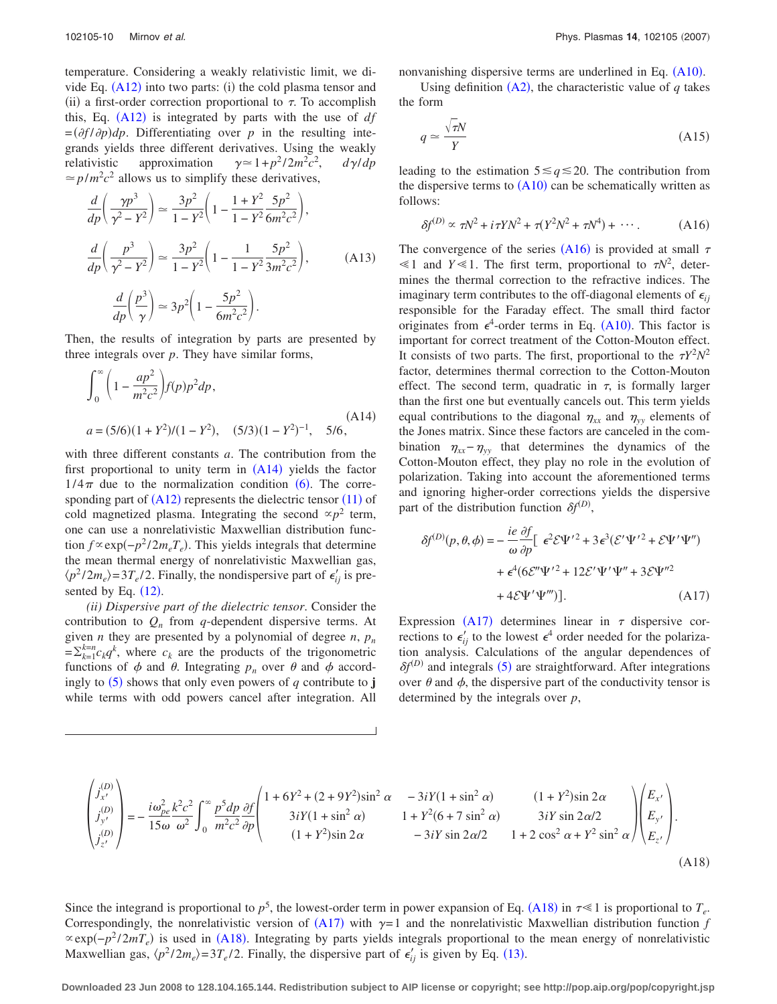temperature. Considering a weakly relativistic limit, we divide Eq.  $(A12)$  into two parts: (i) the cold plasma tensor and (ii) a first-order correction proportional to  $\tau$ . To accomplish this, Eq.  $(A12)$  is integrated by parts with the use of  $df$  $=(\partial f/\partial p)dp$ . Differentiating over *p* in the resulting integrands yields three different derivatives. Using the weakly relativistic approximation  $\gamma \approx 1 + p^2/2m^2c^2$ ,  $d\gamma/dp$  $\approx$  *p*/*m*<sup>2</sup> $c$ <sup>2</sup> allows us to simplify these derivatives,

$$
\frac{d}{dp}\left(\frac{\gamma p^3}{\gamma^2 - Y^2}\right) \approx \frac{3p^2}{1 - Y^2} \left(1 - \frac{1 + Y^2}{1 - Y^2} \frac{5p^2}{6m^2 c^2}\right),
$$
  

$$
\frac{d}{dp}\left(\frac{p^3}{\gamma^2 - Y^2}\right) \approx \frac{3p^2}{1 - Y^2} \left(1 - \frac{1}{1 - Y^2} \frac{5p^2}{3m^2 c^2}\right),
$$
(A13)  

$$
\frac{d}{dp}\left(\frac{p^3}{\gamma}\right) \approx 3p^2 \left(1 - \frac{5p^2}{6m^2 c^2}\right).
$$

Then, the results of integration by parts are presented by three integrals over *p*. They have similar forms,

$$
\int_0^\infty \left(1 - \frac{ap^2}{m^2 c^2}\right) f(p) p^2 dp,
$$
\n
$$
a = (5/6)(1 + Y^2)/(1 - Y^2), \quad (5/3)(1 - Y^2)^{-1}, \quad 5/6,
$$
\n(A14)

with three different constants *a*. The contribution from the first proportional to unity term in  $(A14)$  yields the factor  $1/4\pi$  due to the normalization condition (6). The corresponding part of  $(A12)$  represents the dielectric tensor  $(11)$  of cold magnetized plasma. Integrating the second  $\alpha p^2$  term, one can use a nonrelativistic Maxwellian distribution function  $f \propto \exp(-p^2/2m_e T_e)$ . This yields integrals that determine the mean thermal energy of nonrelativistic Maxwellian gas,  $\langle p^2 / 2m_e \rangle = 3T_e/2$ . Finally, the nondispersive part of  $\epsilon'_{ij}$  is presented by Eq.  $(12)$ .

*(ii) Dispersive part of the dielectric tensor*. Consider the contribution to  $Q_n$  from *q*-dependent dispersive terms. At given *n* they are presented by a polynomial of degree *n*,  $p_n$  $=\sum_{k=1}^{k=n} c_k q^k$ , where  $c_k$  are the products of the trigonometric functions of  $\phi$  and  $\theta$ . Integrating  $p_n$  over  $\theta$  and  $\phi$  accordingly to  $(5)$  shows that only even powers of q contribute to **j** while terms with odd powers cancel after integration. All nonvanishing dispersive terms are underlined in Eq. (A10).

Using definition  $(A2)$ , the characteristic value of  $q$  takes the form

$$
q \simeq \frac{\sqrt{\tau N}}{Y} \tag{A15}
$$

leading to the estimation  $5 \leq q \leq 20$ . The contribution from the dispersive terms to  $(A10)$  can be schematically written as follows:

$$
\delta f^{(D)} \propto \tau N^2 + i\tau Y N^2 + \tau (Y^2 N^2 + \tau N^4) + \cdots. \tag{A16}
$$

The convergence of the series  $(A16)$  is provided at small  $\tau$  $\leq 1$  and  $Y \leq 1$ . The first term, proportional to  $\tau N^2$ , determines the thermal correction to the refractive indices. The imaginary term contributes to the off-diagonal elements of  $\epsilon_{ii}$ responsible for the Faraday effect. The small third factor originates from  $\epsilon^4$ -order terms in Eq. (A10). This factor is important for correct treatment of the Cotton-Mouton effect. It consists of two parts. The first, proportional to the  $T^2N^2$ factor, determines thermal correction to the Cotton-Mouton effect. The second term, quadratic in  $\tau$ , is formally larger than the first one but eventually cancels out. This term yields equal contributions to the diagonal  $\eta_{xx}$  and  $\eta_{yy}$  elements of the Jones matrix. Since these factors are canceled in the combination  $\eta_{xx} - \eta_{yy}$  that determines the dynamics of the Cotton-Mouton effect, they play no role in the evolution of polarization. Taking into account the aforementioned terms and ignoring higher-order corrections yields the dispersive part of the distribution function  $\delta f^{(D)}$ ,

$$
\delta f^{(D)}(p,\theta,\phi) = -\frac{ie}{\omega} \frac{\partial f}{\partial p} \left[ \epsilon^2 \mathcal{E} \Psi'^2 + 3 \epsilon^3 (\mathcal{E}' \Psi'^2 + \mathcal{E} \Psi' \Psi'') \right. \\
\left. + \epsilon^4 (6 \mathcal{E}'' \Psi'^2 + 12 \mathcal{E}' \Psi' \Psi'' + 3 \mathcal{E} \Psi''^2 \right. \\
\left. + 4 \mathcal{E} \Psi' \Psi''' \right)].\n\tag{A17}
$$

Expression (A17) determines linear in  $\tau$  dispersive corrections to  $\epsilon'_{ij}$  to the lowest  $\epsilon^4$  order needed for the polarization analysis. Calculations of the angular dependences of  $\delta f^{(D)}$  and integrals (5) are straightforward. After integrations over  $\theta$  and  $\phi$ , the dispersive part of the conductivity tensor is determined by the integrals over *p*,

$$
\begin{pmatrix} j_{x'}^{(D)} \\ j_{y'}^{(D)} \\ j_{z'}^{(D)} \end{pmatrix} = -\frac{i\omega_{pe}^2 k^2 c^2}{15\omega \omega^2} \int_0^\infty \frac{p^5 dp}{m^2 c^2} \frac{\partial f}{\partial p} \begin{pmatrix} 1 + 6Y^2 + (2 + 9Y^2)\sin^2 \alpha & -3iY(1 + \sin^2 \alpha) & (1 + Y^2)\sin 2\alpha \\ 3iY(1 + \sin^2 \alpha) & 1 + Y^2(6 + 7\sin^2 \alpha) & 3iY\sin 2\alpha/2 \\ (1 + Y^2)\sin 2\alpha & -3iY\sin 2\alpha/2 & 1 + 2\cos^2 \alpha + Y^2\sin^2 \alpha \end{pmatrix} \begin{pmatrix} E_{x'} \\ E_{y'} \\ E_{z'} \end{pmatrix} . \tag{A18}
$$

Since the integrand is proportional to  $p^5$ , the lowest-order term in power expansion of Eq. (A18) in  $\tau \ll 1$  is proportional to  $T_e$ . Correspondingly, the nonrelativistic version of  $(A17)$  with  $\gamma=1$  and the nonrelativistic Maxwellian distribution function *f*  $\propto \exp(-p^2/2mT_e)$  is used in (A18). Integrating by parts yields integrals proportional to the mean energy of nonrelativistic Maxwellian gas,  $\langle p^2/2m_e \rangle = 3T_e/2$ . Finally, the dispersive part of  $\epsilon'_{ij}$  is given by Eq. (13).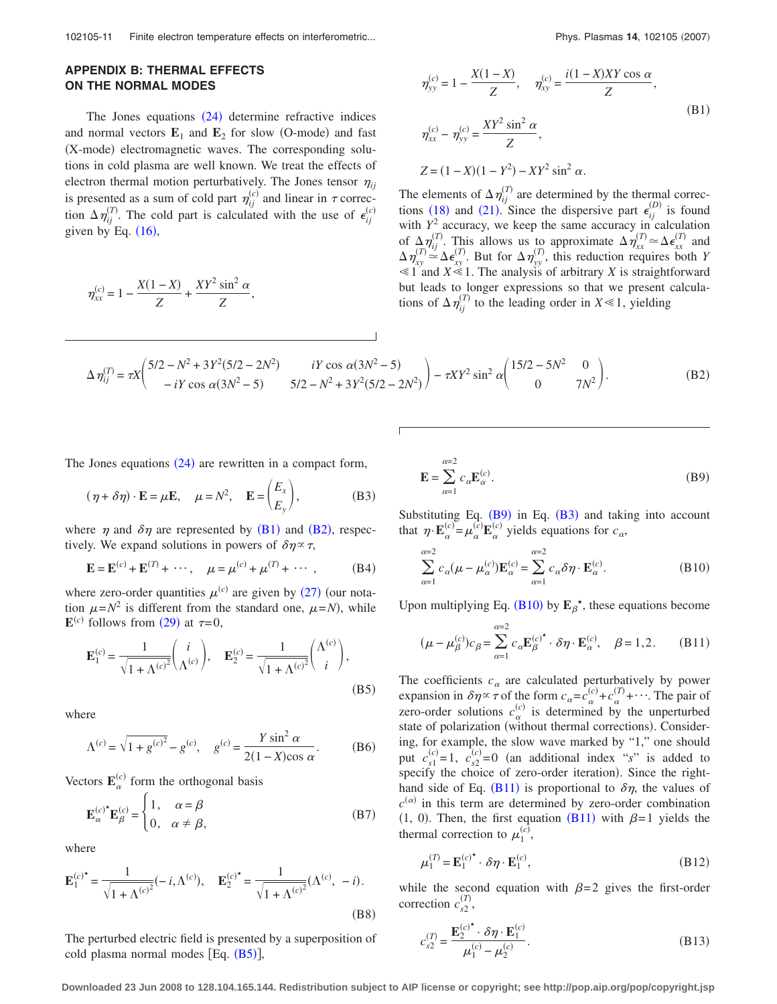### **APPENDIX B: THERMAL EFFECTS ON THE NORMAL MODES**

The Jones equations  $(24)$  determine refractive indices and normal vectors  $\mathbf{E}_1$  and  $\mathbf{E}_2$  for slow (O-mode) and fast (X-mode) electromagnetic waves. The corresponding solutions in cold plasma are well known. We treat the effects of electron thermal motion perturbatively. The Jones tensor  $\eta_{ii}$ is presented as a sum of cold part  $\eta_{ij}^{(c)}$  and linear in  $\tau$  correction  $\Delta \eta_{ij}^{(T)}$ . The cold part is calculated with the use of  $\epsilon_{ij}^{(c)}$ given by Eq.  $(16)$ ,

$$
\eta_{xx}^{(c)} = 1 - \frac{X(1-X)}{Z} + \frac{XY^2 \sin^2 \alpha}{Z},
$$

$$
\eta_{yy}^{(c)} = 1 - \frac{X(1 - X)}{Z}, \quad \eta_{xy}^{(c)} = \frac{i(1 - X)XY\cos\alpha}{Z},
$$
\n
$$
\eta_{xx}^{(c)} - \eta_{yy}^{(c)} = \frac{XY^2\sin^2\alpha}{Z},
$$
\n(B1)

The elements of  $\Delta \eta_{ij}^{(T)}$  are determined by the thermal corrections (18) and (21). Since the dispersive part  $\epsilon_{ij}^{(D)}$  is found with  $Y^2$  accuracy, we keep the same accuracy in calculation of  $\Delta \eta_{ij}^{(T)}$ . This allows us to approximate  $\Delta \eta_{xx}^{(T)} \simeq \Delta \epsilon_{xx}^{(T)}$  and  $\Delta \eta_{xy}^{(T)} \simeq \Delta \epsilon_{xy}^{(T)}$ . But for  $\Delta \eta_{yy}^{(T)}$ , this reduction requires both *Y*  $\leq 1$  and *X* $\leq 1$ . The analysis of arbitrary *X* is straightforward but leads to longer expressions so that we present calculations of  $\Delta \eta_{ij}^{(T)}$  to the leading order in  $X \ll 1$ , yielding

 $Z = (1 - X)(1 - Y^2) - XY^2 \sin^2 \alpha$ .

$$
\Delta \eta_{ij}^{(T)} = \tau X \begin{pmatrix} 5/2 - N^2 + 3Y^2(5/2 - 2N^2) & iY \cos \alpha (3N^2 - 5) \\ -iY \cos \alpha (3N^2 - 5) & 5/2 - N^2 + 3Y^2(5/2 - 2N^2) \end{pmatrix} - \tau XY^2 \sin^2 \alpha \begin{pmatrix} 15/2 - 5N^2 & 0 \\ 0 & 7N^2 \end{pmatrix} . \tag{B2}
$$

The Jones equations  $(24)$  are rewritten in a compact form,

$$
(\eta + \delta \eta) \cdot \mathbf{E} = \mu \mathbf{E}, \quad \mu = N^2, \quad \mathbf{E} = \begin{pmatrix} E_x \\ E_y \end{pmatrix},
$$
 (B3)

where  $\eta$  and  $\delta\eta$  are represented by (B1) and (B2), respectively. We expand solutions in powers of  $\delta \eta \propto \tau$ ,

$$
\mathbf{E} = \mathbf{E}^{(c)} + \mathbf{E}^{(T)} + \cdots, \quad \mu = \mu^{(c)} + \mu^{(T)} + \cdots, \quad (B4)
$$

where zero-order quantities  $\mu^{(c)}$  are given by (27) (our notation  $\mu = N^2$  is different from the standard one,  $\mu = N$ , while  $\mathbf{E}^{(c)}$  follows from (29) at  $\tau=0$ ,

$$
\mathbf{E}_{1}^{(c)} = \frac{1}{\sqrt{1 + \Lambda^{(c)}}^2} \begin{pmatrix} i \\ \Lambda^{(c)} \end{pmatrix}, \quad \mathbf{E}_{2}^{(c)} = \frac{1}{\sqrt{1 + \Lambda^{(c)}}^2} \begin{pmatrix} \Lambda^{(c)} \\ i \end{pmatrix},
$$
\n(B5)

where

$$
\Lambda^{(c)} = \sqrt{1 + g^{(c)^2}} - g^{(c)}, \quad g^{(c)} = \frac{Y \sin^2 \alpha}{2(1 - X)\cos \alpha}.
$$
 (B6)

Vectors  $\mathbf{E}_{\alpha}^{(c)}$  form the orthogonal basis

$$
\mathbf{E}_{\alpha}^{(c)^{*}}\mathbf{E}_{\beta}^{(c)} = \begin{cases} 1, & \alpha = \beta \\ 0, & \alpha \neq \beta, \end{cases}
$$
 (B7)

where

$$
\mathbf{E}_{1}^{(c)*} = \frac{1}{\sqrt{1 + \Lambda^{(c)}}^2} (-i, \Lambda^{(c)}), \quad \mathbf{E}_{2}^{(c)*} = \frac{1}{\sqrt{1 + \Lambda^{(c)}}^2} (\Lambda^{(c)}, -i).
$$
\n(B8)

The perturbed electric field is presented by a superposition of cold plasma normal modes  $[Eq. (B5)],$ 

$$
\mathbf{E} = \sum_{\alpha=1}^{\alpha=2} c_{\alpha} \mathbf{E}_{\alpha}^{(c)}.
$$
 (B9)

Substituting Eq.  $(B9)$  in Eq.  $(B3)$  and taking into account that  $\eta \cdot \mathbf{E}_{\alpha}^{(c)} = \mu_{\alpha}^{(c)} \mathbf{E}_{\alpha}^{(c)}$  yields equations for  $c_{\alpha}$ ,

$$
\sum_{\alpha=1}^{\alpha=2} c_{\alpha}(\mu - \mu_{\alpha}^{(c)}) \mathbf{E}_{\alpha}^{(c)} = \sum_{\alpha=1}^{\alpha=2} c_{\alpha} \delta \eta \cdot \mathbf{E}_{\alpha}^{(c)}.
$$
 (B10)

Upon multiplying Eq.  $(B10)$  by  $E_\beta^*$ , these equations become

$$
(\mu - \mu_{\beta}^{(c)})c_{\beta} = \sum_{\alpha=1}^{\alpha=2} c_{\alpha} \mathbf{E}_{\beta}^{(c)^{\ast}} \cdot \delta \eta \cdot \mathbf{E}_{\alpha}^{(c)}, \quad \beta = 1, 2. \quad (B11)
$$

The coefficients  $c_{\alpha}$  are calculated perturbatively by power expansion in  $\delta \eta \propto \tau$  of the form  $c_{\alpha} = c_{\alpha}^{(c)} + c_{\alpha}^{(T)} + \cdots$ . The pair of zero-order solutions  $c_{\alpha}^{(c)}$  is determined by the unperturbed state of polarization (without thermal corrections). Considering, for example, the slow wave marked by "1," one should put  $c_{s1}^{(c)} = 1$ ,  $c_{s2}^{(c)} = 0$  (an additional index "*s*" is added to specify the choice of zero-order iteration). Since the righthand side of Eq. (B11) is proportional to  $\delta \eta$ , the values of  $c^{(\alpha)}$  in this term are determined by zero-order combination  $(1, 0)$ . Then, the first equation  $(B11)$  with  $\beta=1$  yields the thermal correction to  $\mu_1^{(c)}$ ,

$$
\mu_1^{(T)} = \mathbf{E}_1^{(c)^*} \cdot \delta \eta \cdot \mathbf{E}_1^{(c)},\tag{B12}
$$

while the second equation with  $\beta = 2$  gives the first-order correction  $c_{s2}^{(T)}$ ,

$$
c_{s2}^{(T)} = \frac{\mathbf{E}_2^{(c)^*} \cdot \delta \eta \cdot \mathbf{E}_1^{(c)}}{\mu_1^{(c)} - \mu_2^{(c)}}.
$$
 (B13)